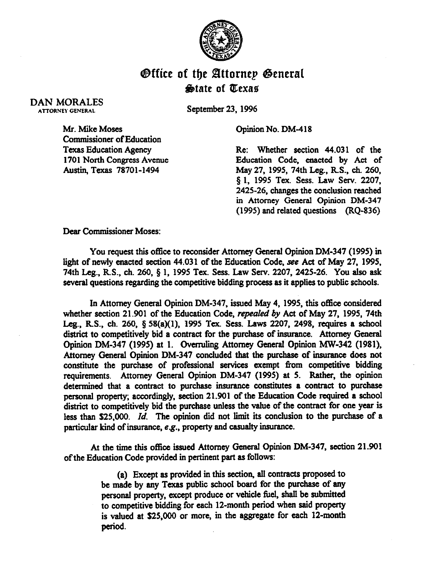

## **Office of the Attornep General**  $\bigcirc$  at at Texas

## DAN MORALES **ATTORNEY GENERAL**

September 23.1996

Opinion No. DM-418

Mr. Mike Moses commissioner of Education Texas **Education Agency**  1701 North Congress Avenue Austin, Texas 78701-1494

Re: Whether section 44.031 of the Education Code, enacted by Act of May *27,* 1995, 74th Leg., RS., ch. 260, § 1, 1995 Tex. Sess. Law Serv. 2207, 2425-26, changes the conclusion reached in Attorney General Opinion DM-347 (1995) and related questions (RQ-836)

**Dear Commissioner Moses:** 

You request this office to reconsider Attorney General Opinion DM-347 (1995) in light of newly enacted section 44.031 of the Education Code, see Act of May 27. 1995. 74th Leg., RS., ch. 260, 5 1, 1995 Tex. Sess. Law Sew. 2207, 2425-26. You also ask several questions regarding the competitive bidding process as it applies to public schools.

In Attorney General Opinion DM-347. issued May 4.1995, this office considered whether section 21.901 of the Education Code, *repealed by Act* of May 27, 1995, 74th Leg., RS., ch. 260, § 58(a)(l), 1995 Tex. Sess. Laws 2207, 2498, requires a school district to competitively bid a contract for the purchase of insurance. Attorney General Opiion DM-347 (1995) **at** 1. Overruhng Attorney General Opinion MW-342 (1981). Attorney General Opinion DM-347 concluded that the purchase of insurance does not constitute the purchase of professional services exempt from competitive bidding requirements. Attorney General Opinion DM-347 (1995) at 5. Rather, the opinion determined that a contract to purchase insurance constitutes a contract to purchase personal property; accordingly, section 21.901 of the Education Code required a school district to competitively bid the purchase unless the value of the contract for one year is less than S25.000. *Id.* The opinion did not limit its conclusion to the purchase of a particular kind of insurance, e.g., property and casualty insurance.

At the time this office issued Attorney General Opinion DM-347, section 21.901 of the Education Code provided in pertinent part as follows:

> (a) Except as provided in this section, all contracts proposed to be made by any Texas public school board for the purchase of any personal property, except produce or vehicle fuel, shall be submitted to competitive bidding for each 12-month period when said property is valued at \$25,000 or more, in the aggregate for each 12-month period.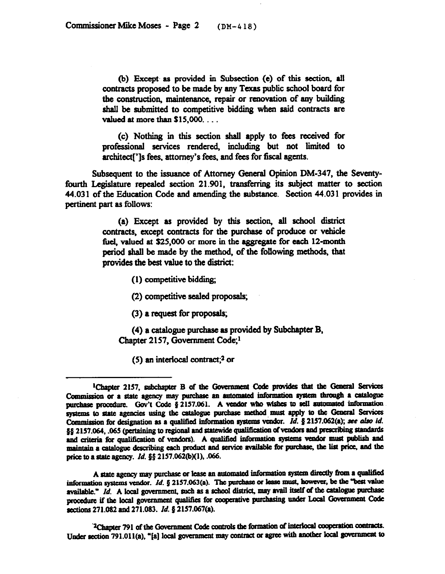(b) Except as provided in Subsection (e) of this section, all contracts proposed to be made by any Texas public school board for the construction, maintenance, repair or renovation of any building shall be submitted to competitive bidding when said contracts are valued at more than  $$15,000$ ...

(c) Nothing in this section shall apply to fees received for professional services rendered, including but not limited to architect<sup>[']</sup>s fees, attorney's fees, and fees for fiscal agents.

Subsequent to the issuance of Attorney General Opinion DM-347, the Seventyfourth Legislature repealed section 21.901, transferring its subject matter to section 44.031 of the Education Code and amending the substance. Section 44.031 provides in pertinent part as follows:

> (a) Except as provided by this section, all school district contracts, except contracts for the purchase of produce or vehicle *ibe& valued at S25,OOO* or more in the aggregate for each 12-month period shall be made by the method, of the following methods, that provides the best value to the district:

> > $(1)$  competitive bidding;

(2) competitive sealed proposals;

*(3)* a request for proposals;

(4) a catalogue purchase as provided by Subchapter B. Chapter 2157, Govemment Code;1

(5) an interlocal contract;<sup>2</sup> or

A state agency may purchase or lease an automated information system directly from a qualified information systems vendor.  $Id$ . § 2157.063(a). The purchase or lease must, however, be the "best value available." Id. A local government, such as a school district, may avail itself of the catalogue purchase procedure if the local government qualifies for cooperative purchasing under Local Government Code sections 271.082 and 271.083. Id. § 2157.067(a).

<sup>2</sup>Chapter 791 of the Government Code controls the formation of interlocal cooperation contracts. Under section 791.011(a), "[a] local government may contract or agree with another local government to

<sup>&</sup>lt;sup>1</sup>Chapter 2157, subchapter B of the Government Code provides that the General Services Commission or a state agency may purchase an automated information system through a catalogue purchase procedure. Gov't Code § 2157.061. A vendor who wishes to sell automated information. systems to state agencies using the catalogue purchase method must apply to the General Services Commission for designation as a qualified information systems vendor. Id. § 2157.062(a); see also id. §§ 2157.064, .065 (pertaining to regional and statewide qualification of vendors and prescribing standards and criteria for qualification of vendors). A qualified information systems vendor must publish and maintain a catalogue describing each product and service available for purchase, the list price, and the price to a state agency. *Id.* §§ 2157.062(b)(1), .066.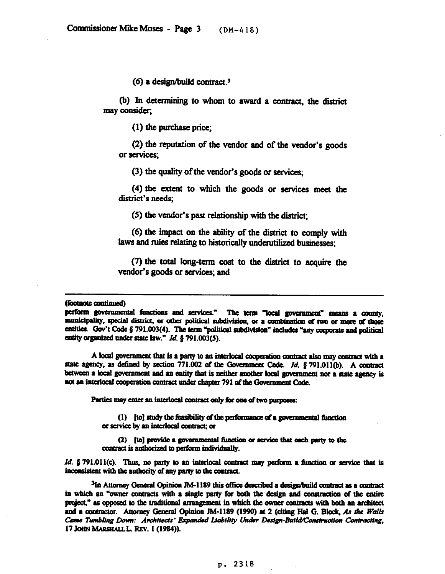*(6)* a design/build contract.3

(b) In determining to whom to award a contract, the district may consider;

 $(1)$  the purchase price;

*(2)* the reputation of the vendor and of the vendor's goods or services;

*(3)* the quality of the vendor's goods or services;

*(4)* the extent to which the goods or services meet the district's needs;

*(5)* the vendor's past relationship with the district;

(6) the impact on the ability of the district to comply with laws and rules relating to historically underutilized businesses;

 $(7)$  the total long-term cost to the district to acquire the vendor's goods or services; and

(footnote continued)

perform governmental functions and services." The term "local government" means a county, municipality, special district, or other political subdivision, or a combination of two or more of those entities. Gov't Code § 791.003(4). The term "political subdivision" includes "any corporate and political entity organized under state law." Id. § 791.003(5).

A local government that is a party to an interlocal cooperation contract also may contract with a state agency, as defined by section 771.002 of the Government Code. Id. § 791.011(b). A contract between a local government and an entity that is neither another local government nor a state agency is not an interlocal cooperation contract under chapter 791 of the Government Code.

Parties may enter an interlocal contract only for one of two purposes:

(1) [to] study the feasibility of the performance of a governmental function or service by an interlocal contract; or

(2) [to] provide a governmental function or service that each party to the contract is authorized to perform individually.

*Id.* § 791.011(c). Thus, no party to an interlocal contract may perform a function or service that is inconsistent with the authority of any party to the contract.

<sup>3</sup>In Attorney General Opinion JM-1189 this office described a design/build contract as a contract in which an "owner contracts with a single party for both the design and construction of the entire project," as opposed to the traditional arrangement in which the owner contracts with both an architect and a contractor. Attorney General Opinion JM-1189 (1990) at 2 (citing Hal G. Block. As the Walls Came Tumbling Down: Architects' Expanded Liability Under Design-Build/Construction Contracting, 17 JOHN MARSHALL L. REV. 1 (1984)).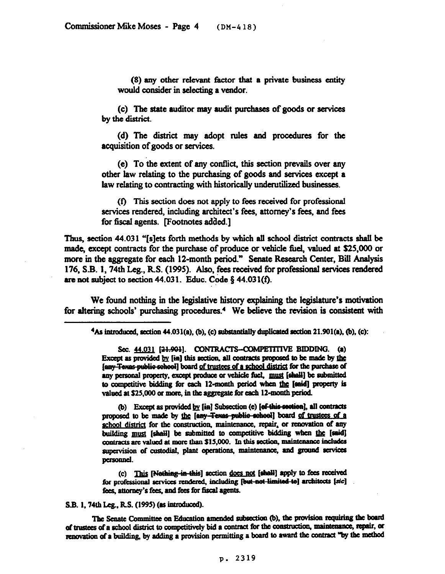(8) any other relevant factor that a private business entity would consider in selecting a vendor.

(c) The state auditor may audit purchses of goods or services by the district.

(d) The district may adopt rules and procedures for the acquisition of goods or services.

(e) To the extent of any conflict, this section prevails over any other law relating to the purchasing of goods and services except a law relating to contracting with historically underutilized businesses.

(i) This section does not apply to fees received for professional services rendered, including architect's fees, attorney's fees, and fees for fiscal agents. [Footnotes added.]

Thus, section 44.031 "[s]ets forth methods by which all school district contracts shall be made, except contracts for the purchase of produce or vehicle fuel, valued at \$25,000 or more in the aggregate for each 12-month period." Senate Research Center, Bill Analysis 176, S.B. 1, 74th Leg., R.S. (1995). Also, fees received for professional services rendered are not subject to section 44.031. Educ. Code  $\S$  44.031(f).

We found nothing in the legislative history explaining the legislature's motivation for altering schools' purchasing procedures.<sup>4</sup> We believe the revision is consistent with

 $4As introduced, section 44.031(a), (b), (c) substantially duplicated section 21.901(a), (b), (c):$ 

Sec. 44.031 [21.901]. CONTRACTS-COMPETITIVE BIDDING. (a) Except as provided by [in] this section, all contracts proposed to be made by the [any Texas public school] board of trustees of a school district for the purchase of any personal property, except produce or vehicle fuel, must [shall] be submitted to competitive bidding for each 12-month period when the [said] property is valued at \$25,000 or more, in the aggregate for each 12-month period.

(b) Except as provided by [in] Subsection (e) [ef this section], all contracts proposed to be made by the fany-Texas public school] board of trustees of a school district for the construction, maintenance, repair, or renovation of any building must [shall] be submitted to competitive bidding when the [said] contracts are valued at more than \$15,000. In this section, maintenance includes supervision of custodial, plant operations, maintenance, and ground services personnel.

(c) This [Nothing in this] section does not [shall] apply to fees received for professional services rendered, including [but-not-limited-to] architects [sic] fees, attorney's fees, and fees for fiscal agents.

S.B. 1, 74th Leg., R.S. (1995) (as introduced).

The Senate Committee on Education amended subsection (b), the provision requiring the board of trustees of a school district to competitively bid a contract for the construction, maintenance, repair, or renovation of a building, by adding a provision permitting a board to award the contract "by the method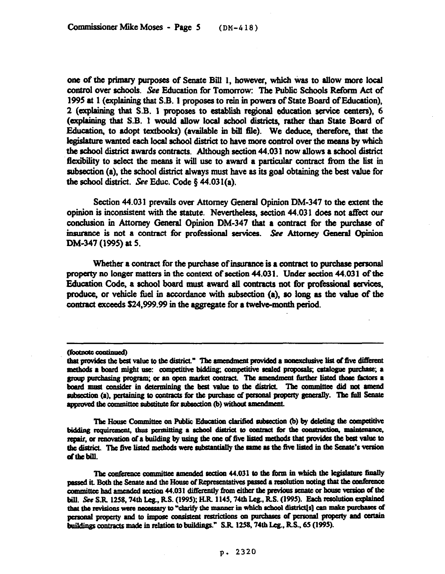one of the primary purposes of Senate Bill 1, however, which was to allow more local control over schools. See Education for Tomorrow: The Public Schools Reform Act of 1995 at 1 (explaining that S.B. 1 proposes to rein in powers of State Board of Education), 2 (explaining that S.B. 1 proposes to establish regional education service centers), 6 (explaining that S.B. 1 would allow local school districts, rather than State Board of Education, to adopt textbooks) (available in bill file). We deduce, therefore, that the legislature wanted each local school district to have more control over the means by which the adtool district awards contracts. Although section 44.031 now allows a school district flexibility to select the means it will use to award a particular contract from the list in subsection (a), the school district always must have as its goal obtaining the best value for the school district. See Educ. Code  $\S$  44.031(a).

Section 44.031 prevails over Attorney General Opinion DM-347 to the extent the opinion is inconsistent with the statute. Nevertheless, section 44.031 does not affect our conclusion in Attorney General Opinion DM-347 that a contract for the purchase of insurance is not a contract for professional services. See Attorney General Opinion DM-347 (1995) at 5.

Whether a contract for the purchase of insurance is a contract to purchase personal property no longer matters in the context of section 44.03 1. Under section 44.03 1 of the Education Code, a school board must award all contracts not for professional services, produce, or vehicle fuel in accordance with subsection  $(a)$ , so long as the value of the contract exceeds \$24,999.99 in the aggregate for a twelve-month period.

The House Committee on Public Education clarified subsection (b) by deleting the competitive bidding requirement, thus permitting a school district to contract for the construction, maintenance, repair, or renovation of a building by using the one of five listed methods that provides the best value to the district. The five listed methods were substantially the same as the five listed in the Senate's version of the bill.

The conference committee amended section 44.031 to the form in which the legislature finally passed it. Both the Senate and the House of Representatives passed a resolution noting that the conference committee had amended section 44.031 differently from either the previous senate or house version of the bill. See S.R. 1258, 74th Leg., R.S. (1995); H.R. 1145, 74th Leg., R.S. (1995). Each resolution explained that the revisions were necessary to "clarify the manner in which school district[s] can make purchases of personal property and to impose consistent restrictions on purchases of personal property and certain buildings contracts made in relation to buildings." S.R. 1258, 74th Leg., R.S., 65 (1995).

<sup>(</sup>footnote continued)

that provides the best value to the district." The amendment provided a nonexclusive list of five different methods a board might use: competitive bidding; competitive sealed proposals; catalogue purchase; a group purchasing program; or an open market contract. The amendment further listed those factors a board must consider in determining the best value to the district. The committee did not amend subsection (a), pertaining to contracts for the purchase of personal property generally. The full Senate approved the committee substitute for subsection (b) without amendment.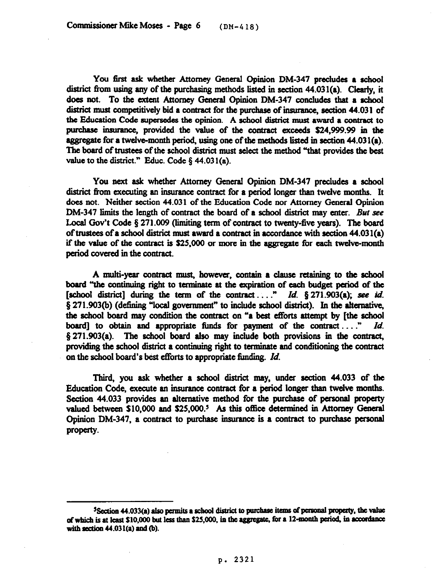You first ask whether Attorney General Opinion DM-347 precludes a school district from using any of the purchasing methods listed in section 44.031(a). Clearly, it does not. To the extent Attorney General Opinion DM-347 concludes that a school district must competitively bid a contract for the purchase of insurance, section 44.031 of the Education Code supersedes the opinion. A school district must award a contract to purchase insurance, provided the value of the contract exceeds \$24,999.99 in the. aggregate for a twelve-month period, using one of the methods listed in section  $44.031(a)$ . The board of trustees of the school district must select the method "that provides the best value to the district." Educ. Code  $§$  44.031(a).

You next ask whether Attorney General Opinion DM-347 precludes a school district from executing an insurance contract for a period longer than twelve months. It does not. Neither section 44.031 of the Education Code nor Attorney General Opinion DM-347 limits the length of contract the board of a school district may enter. But see Local Gov't Code § 271.009 (limiting term of contract to twenty-five years). The board of trustees of a school district must award a contract in accordance with section  $44.031(a)$ if the value of the contract is \$25,000 or more in the aggregate for each twelve-month period covered in the contract.

A multi-year contract must, however, contain a clause retaining to the school board "the continuing right to terminate at the expiration of each budget period of the [school district] during the term of the contract..." *Id.* § 271.903(a); see id.  $\S$  271.903(b) (defining "local government" to include school district). In the alternative, the school board may condition the contract on "a best efforts attempt by [the school board] to obtain and appropriate funds for payment of the contract ...." *Id.*  $\S 271.903(a)$ . The school board also may include both provisions in the contract, providing the school district a continuing right to terminate and conditioning the contract on the school board's best efforts to appropriate funding. *Id.* 

Third, you ask whether a school district may, under section 44.033 of the Education Code, execute an insurance contract for a period longer than twelve months. Section 44.033 provides an alternative method for the purchase of personal property valued between S10,000 and S25,OOO.' As this office determined in Attorney General Opinion DM-347, a contract to purchase insurance is a contract to purchase personal property.

<sup>&</sup>lt;sup>5</sup>Section 44.033(a) also permits a school district to purchase items of personal property, the value of which is at least \$10,000 but less than \$25,000, in the aggregate, for a 12-month period, in accordance with section  $44.031(a)$  and (b).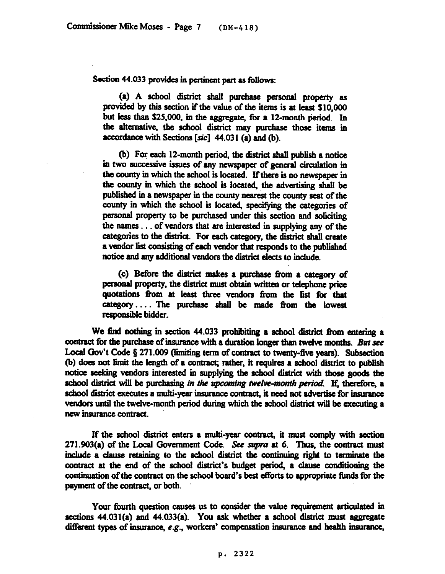Section 44.033 provides in pertinent part as follows:

(a) A school district shall purchase personal property as provided by this section if the value of the items is at least SlO,OOO but less than  $$25,000$ , in the aggregate, for a 12-month period. In the alternative, the school district may purchase those items in accordance with Sections  $[sic]$  44.031 (a) and (b).

0) For each 12-month period, the district shall publish a notice in two successive issues of any newspaper of general circulation in the county in which the school is located. If there is no newspaper in the county in which the school is located, the advertising shall be published in a newspaper in the county nearest the county seat of the county in which the school is located, specifying the categories of personal property to be purchased under this section and soliciting the names  $\dots$  of vendors that are interested in supplying any of the categories to the district. For each category, the district shall create a vendor list consisting of each vendor that responds to the published notice and any additional vendors the district elects to include.

(c) Before the district makes a pumhase from a category of personal property, the district must obtain written or telephone price quotations from at least three vendors from the list for that category.... The purchase shall be made from the lowest responsible bidder.

We find nothing in section 44.033 prohibiting a school district from entering a contract for the purchase of insurance with a duration longer than twelve months. But see Local Gov't Code  $\S 271.009$  (limiting term of contract to twenty-five years). Subsection (b) does not limit the length of a contract; rather, it requires a school district to publish notice seeking vendors interested in supplying the school district with those goods the school district will be purchasing in the upcoming twelve-month period. If, therefore, a school district executes a multi-year insurance contract, it need not advertise for insurance vendors until the twelve-month period during which the school district will be executing a new insurance contract.

If the school district enters a multi-year contract, it must comply with section 271.903(a) of the Local Government Code. See supra at 6. Thus, the contract must include a clause retaining to the school district the continuing right to terminate the contract at the end of the school district's budget period, a clause conditioning the continuation of the contract on the school board's best efforts to appropriate funds for the payment of the contract, or both.

Your fourth question causes us to consider the value requirement articulated in sections  $44.031(a)$  and  $44.033(a)$ . You ask whether a school district must aggregate different types of insurance,  $e.g.,$  workers' compensation insurance and health insurance,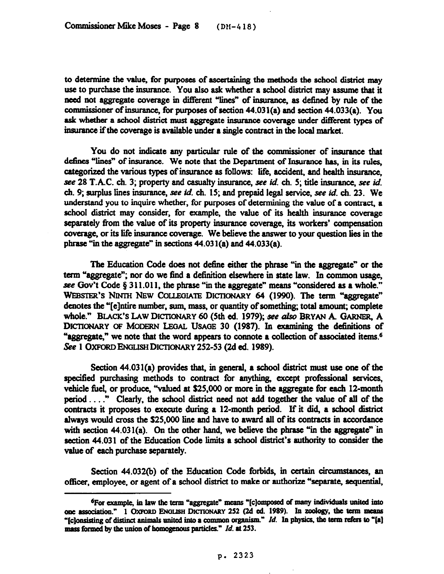to determine the value, for purposes of ascertaining the methods the school district may use to purchase the insurance. You also ask whether a school district may assume that it need not aggregate coverage in different "lines" of insurance, as defined by rule of the commissioner of insurance, for purposes of section  $44.031(a)$  and section  $44.033(a)$ . You ask whether a school district must aggregate insurance coverage under different types of insurance if the coverage is available under a single contract in the local market.

You do not indicate any particular rule of the commissioner of insurance that defines "lines" of insurance. We note that the Department of Insurance has, in its rules, categorized the various types of insurance as follows: life, accident, and health insurance, see 28 T.A.C. ch. 3; property and casualty insurance, see *id.* ch. 5; title insurance, see id. ch. 9; surplus lines insurance, see id. ch. 15; and prepaid legal service, see id. ch. 23. We understand you to inquire whether, for purposes of determining the value of a contract, a school district may consider, for example, the value of its health insurance coverage separately from the value of its property insurance coverage, its workers' compensation coverage, or its life insurance coverage. We believe the answer to your question lies in the phrase "in the aggregate" in sections  $44.031(a)$  and  $44.033(a)$ .

The Education Code does not define either the phrase "in the aggregate" or the term "aggregate"; nor do we find a definition elsewhere in state law. In common usage, see Gov't Code  $\S 311.011$ , the phrase "in the aggregate" means "considered as a whole." WEBSTER'S NINTH NEW COLLEGIATE DICTIONARY 64 (1990). The term "aggregate" denotes the "[e]ntire number, sum, mass, or quantity of something; total amount; complete whole." BLACK'S LAW DICTIONARY 60 (5th ed. 1979); see also BRYAN A. GARNER, A DICTIONARY OF MODERN LEGAL USAGE 30 (1987). In examining the definitions of "aggregate," we note that the word appears to connote a collection of associated items.<sup>6</sup> See 1 OXFORD ENGLISH DICTIONARY 252-53 (2d ed. 1989).

Section  $44.031(a)$  provides that, in general, a school district must use one of the specified purchasing methods to contract for anything, except professional services, vehicle fuel, or produce, "valued at \$25,000 or more in the aggregate for each 12-month period...." Clearly, the school district need not add together the value of all of the contracts it proposes to execute during a 12-month period. If it did, a school district always would cross the \$25,000 line and have to award all of its contracts in accordance with section  $44.031(a)$ . On the other hand, we believe the phrase "in the aggregate" in section 44.031 of the Education Code limits a school district's authority to consider the value of each purchase separately.

Section 44.032(b) of the Education Code forbids, in certain circumstances, an officer, employee, or agent of a school district to make or authorize "separate, sequential,

<sup>&</sup>lt;sup>6</sup>For example, in law the term "aggregate" means "[c]omposed of many individuals united into one association." 1 OxFORD ENGLISH DICTIONARY 252 (2d ed. 1989). In zoology, the term means "[c]onsisting of distinct animals united into a common organism." *Id.* In physics, the term refers to "[a] mass formed by the union of homogenous particles." *Id.* at 253.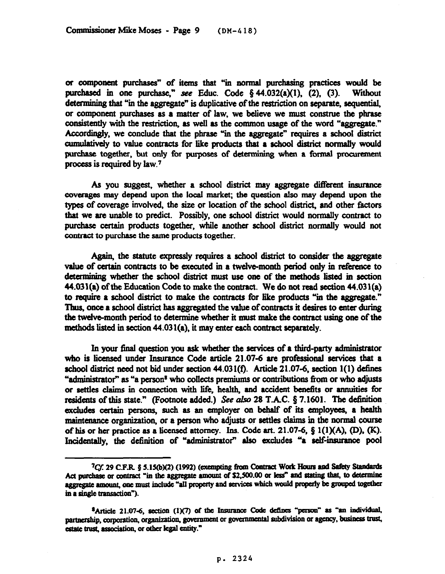or component purchases" of items that "in normal purchasing practices would be purchased in one purchase," see Educ. Code  $§$  44.032(a)(1), (2), (3). Without determining that "in the aggregate" is duplicative of the restriction on separate, sequential, or component purchases as a matter of law, we believe we must construe the phrase consistently with the restriction, as well as the common usage of the word "aggregate." Accordingly, we conclude that the phrase "in the aggregate" requires a school district cumulatively to value contracts for like products that a school district normally would purchase together, but only for purposes of determining when a formal procurement process is required by law.7

As you suggest, whether a school district may aggregate different insurance coverages may depend upon the local market; the question also may depend upon the types of coverage involved, the size or location of the school district, and other factors that we are unable to predict. Possibly, one school district would normally contract to purchase certain products together, while another school district normally would not contract to purchase the same products together.

Again, the statute expressly requires a school district to consider the aggregate value of certain contracts to be executed in a twelve-month period only in reference to determining whether the school district must use one of the methods listed in section  $44.031(a)$  of the Education Code to make the contract. We do not read section  $44.031(a)$ to require a school district to make the contracts for like products "in the aggregate." Thus, once a school district has aggregated the value of contracts it desires to enter during the twelve-month period to determine whether it must make the contract using one of the methods listed in section  $44.031(a)$ , it may enter each contract separately.

In your final question you ask whether the services of a third-party administrator who is licensed under Insurance Code article 21.07-6 are professional services that a school district need not bid under section 44.031(f). Article 21.07-6, section 1(1) defines "administrator" as "a person<sup>8</sup> who collects premiums or contributions from or who adjusts or settles claims in connection with life, health, and accident benefits or annuities for residents of this state." (Footnote added.) See also 28 T.A.C.  $\S$  7.1601. The definition excludes certain persons, such as an employer on behalf of its employees, a health maintenance organization, or a person who adjusts or settles claims in the normal course of his or her practice as a licensed attorney. Ins. Code art. 21.07-6,  $\S$  1(1)(A), (D), (K). Incidentally, the definition of "administrator" also excludes "a self-insurance pool

<sup>&</sup>lt;sup>7</sup>Cf. 29 C.F.R. § 5.15(b)(2) (1992) (exempting from Contract Work Hours and Safety Standards Act purchase or contract "in the aggregate amount of \$2,500.00 or less" and stating that, to determine aggregate amount, one must include "all property and services which would properly be grouped together in a single transaction").

<sup>\*</sup>Article 21.07-6, section (1)(7) of the Insurance Code defines "person" as "an individual, partnership, corporation, organization, government or governmental subdivision or agency, business trust, estate trust, association, or other legal entity."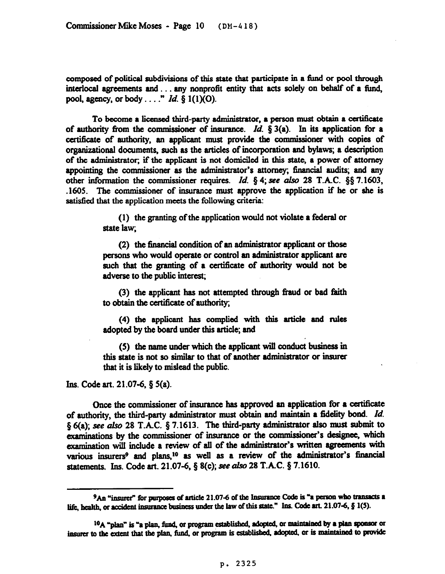composed of political subdivisions of this state that participate in a fund or pool through interlocal agreements and  $\dots$  any nonprofit entity that acts solely on behalf of a fund, pool, agency, or body. . . ." *Id. 8* l(l)(O).

To become a licensed third-party administrator, a person must obtain a certificate of authority from the commissioner of insurance. *Id.* § 3(a). In its application for a certificate of authority, an applicant must provide the commissioner with copies of organizational documents, such as the articles of incorporation and bylaws; a description of the administrator; if the applicant is not domiciled in this state, a power of attorney appointing the commissioner as the administrator's attorney; financial audits; and any other information the commissioner requires. *Id.* § 4; see also 28 T.A.C. §§ 7.1603, .1605. The wmmissioner of insurance must approve the application if he or she is satisfied that the application meets the following criteria:

> (1) the granting of the application would not violate a federal or state law;

> $(2)$  the financial condition of an administrator applicant or those persons who would operate or control an administrator applicant are such that the granting of a certificate of authority would not be adverse to the public interest;

> (3) the applicant has not attempted through fraud, or bad faith to obtain the certificate of authority;

> (4) the applicant has complied with this article and rules adopted by the board under this article; and

> (5) the name under which the applicant will conduct business in this state is not so similar to that of another administrator or insurer that it is likely to mislead the public.

Ins. Code art.  $21.07-6$ ,  $\S$   $5(a)$ .

Once the wmmissioner of insurance has approved an application for a certificate of authority, the third-party administrator must obtain and maintain a fidelity bond. *Id.*  $\S$  6(a); see also 28 T.A.C.  $\S$  7.1613. The third-party administrator also must submit to examinations by the commissioner of insurance or the commissioner's designee, which examination will include a review of all of the administrator's written agreements with various insurers<sup>9</sup> and plans,<sup>10</sup> as well as a review of the administrator's financial statements. Ins. Code art. 21.07-6, § 8(c); see also 28 T.A.C. § 7.1610.

<sup>&</sup>lt;sup>9</sup>An "insurer" for purposes of article 21.07-6 of the Insurance Code is "a person who transacts a life, health, or accident insurance business under the law of this state." Ins. Code art. 21.07-6,  $\S$  1(5).

<sup>&</sup>lt;sup>10</sup>A "plan" is "a plan, fund, or program established, adopted, or maintained by a plan sponsor or insurer to the extent that the plan, fund, or program is established, adopted, or is maintained to provide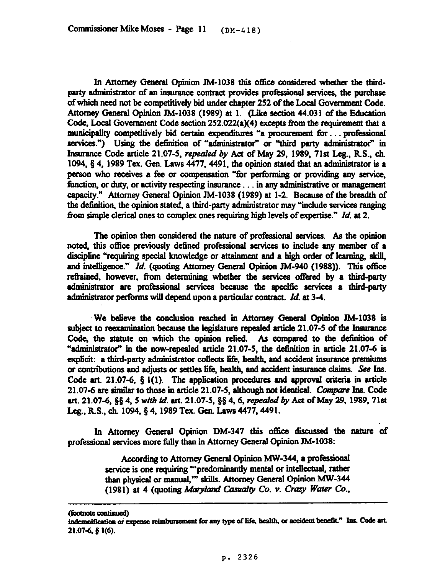In Attorney General Opinion JM-1038 this office considered whether the thirdparty administrator of an insurance contract provides professional services, the purchase of which need not be wmpetitively bid under chapter 252 of the Local Govemment Code. Attorney General Opinion JM-1038 (1989) at 1. (Like section 44.031 of the Education Code, Local Government Code section  $252.022(a)(4)$  excepts from the requirement that a municipality competitively bid certain expenditures "a procurement for... professional services.") Using the definition of "administrator" or "third party administrator" in Insurance Code article 21.07-5, *repealed by* Act of May 29, 1989, 71st Leg., R.S., ch. 1094,  $\S$  4, 1989 Tex. Gen. Laws 4477, 4491, the opinion stated that an administrator is a person who receives a fee or compensation "for performing or providing any service, function, or duty, or activity respecting insurance... in any administrative or management capacity." Attorney General Opinion JM-1038 (1989) at 1-2. Because of the breadth of the definition, the opinion stated, a third-party administrator may "include services ranging from simple clerical ones to complex ones requiring high levels of expertise." *Id.* at 2.

The opinion then considered the nature of professional services. As the opinion noted, this office previously defined professional services to include any member of a discipline "requiring special knowledge or attainment and a high order of learning, skill, and intelligence." *Id.* (quoting Attorney General Opinion JM-940 (1988)). This office refrained, however, from determining whether the services offered by a third-party administrator are professional services because the specific services a third-party administrator performs will depend upon a particular contract. *Id.* at 3-4.

We believe the conclusion reached in Attorney General Opinion JM-1038 is subject to reexamination because the legislature repealed article 21.07-5 of the Insurance Code, the statute on which the opinion relied. As compared to the definition of example constructed article 21.07-5, the definition in article 21.07-6 is explicit: a third-party administrator collects life, health, and accident insurance premiums or contributions and adjusts or settles life, health, and accident insurance claims. See Ins. Code art. 21.07-6,  $\S$  1(1). The application procedures and approval criteria in article 21.07-6 are similar to those in article 21.07-5, although not identical. Compare Ins. Code art. 21.07-6, §§ 4, 5 *with id.* art. 21.07-5, §§ 4, 6, repealed by Act of May 29, 1989, 71st Leg., R.S., ch. 1094, § 4, 1989 Tex. Gen. Laws 4477, 4491.

In Attorney General Opinion DM-347 this office discussed the nature of professional services more fully than in Attorney General Opinion JM-1038:

> According to Attorney General Opinion MW-344, a professional service is one requiring "'predominantly mental or intellectual, rather than physical or manual," skills. Attorney General Opinion MW-344 (1981) at 4 (quoting Maryland Casualty Co. v. Crazy Water Co.,

<sup>(</sup>footnote continued)

indemnification or expense reimbursement for any type of life, health, or accident benefit." Ins. Code art. 21.07-6, § 1(6).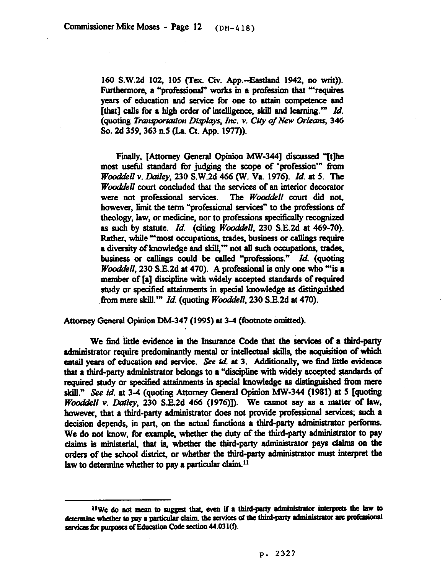160 S.W.2d 102, 105 (Tex. Civ. App.-Eastland 1942, no writ)). Furthermore, a "professional" works in a profession that "requires years of education and service for one to attain competence and [that] calls for a high order of intelligence, skill and learning.'" *Id.*  (quoting *Transportation Displays, Inc. v. City of New Orleans, 346 So. 2d 359,363 n5* (La. Ct. App. 1977)).

Finally, [Attorney General Opinion MW-344] discussed "[t]he most useful standard for judging the scope of 'profession'" from *Woadakll v. Lkziley, 230* S.W.2d 466 (W. Va 1976). *Id. at 5. The Wooddell* court concluded that the services of an interior decorator were not professional services. The *Wooddell* court did not. were not professional services. however, limit the term "professional services" to the professions of theology, law, or medicine, nor to professions specifically recognized as such by statute. *Id.* (citing *Wooddell*, 230 S.E.2d at 469-70). Rather, while "'most occupations, trades, business or callings require a diversity of knowledge and skill," not all such occupations, trades, business or dings could be called "professions." *Id. (quoting Wooddell*, 230 S.E.2d at 470). A professional is only one who "is a member of [a] discipline with widely accepted standards of required study or specified attainments in special knowledge as distinguished .fiom mere skill.'" *Id.* (quoting *Wooddell, 230* S.E.2d at 470).

Attorney General Opinion DM-347 (1995) at 3-4 (footnote omitted).

We find little evidence in the Insurance Code that the services of a third-party administrator require predominantly mental or intellectual skills, the acquisition of which entail years of education and service. See id. at 3. Additionally, we find little evidence that a third-party administrator belongs to a "discipline with widely accepted standards of required study or specified attainments in special knowledge as distinguished from mere skill." See id. at 3-4 (quoting Attorney General Opinion MW-344 (1981) at 5 **[quoting** *Wooddell v. Dailey*, 230 S.E.2d 466 (1976)]). We cannot say as a matter of law, however, that a third-party administrator does not provide professional services; such a decision depends, in part, on the actual functions a third-party administrator performs. We do not know, for example, whether the duty of the third-party administrator to pay claims is ministerial, that is, whether the third-party administrator pays claims on the orders of the school district, or whether the third-party administrator must interpret the law to determine whether to pay a particular claim.<sup>11</sup>

<sup>&</sup>lt;sup>11</sup>We do not mean to suggest that, even if a third-party administrator interprets the law to determine whether to pay a particular claim, the services of the third-party administrator are professional services for purposes of Education Code section 44.031(f).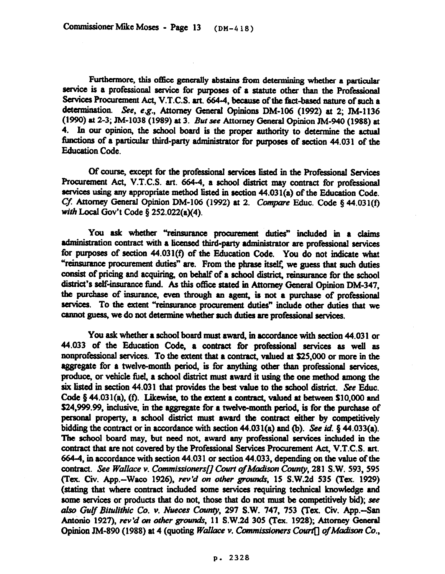Furthermore, this office generally abstains from determining whether a particular service is a professional service for purposes of a statute other than the Professional Services Procurement Act, V.T.C.S. art. 664-4, because of the fact-based nature of such a determination. See, e.g., Attorney General Opinions DM-106 (1992) at 2; JM-1136 (1990) at 2-3; JM-1038 (1989) at 3. But see Attorney General Opinion JM-940 (1988) at 4. In our opinion, the school board is the proper authority to determine the actual functions of a particular third-party administrator for purposes of section 44.031 of the Education Code.

Of course, except for the professional services listed in the Professional Services Procurement Act, V.T.C.S. art. 664-4, a school district may contract for professional services using any appropriate method listed in section  $44.031(a)$  of the Education Code. Cf. Attorney General Opinion DM-106 (1992) at 2. Compare Educ. Code § 44.031(f) with Local Gov't Code § 252.022(a)(4).

You ask whether "reinsurance procurement duties" included in a claims administration contract with a licensed third-party administrator are professional services for purposes of section 44.031(f) of the Education Code. You do not indicate what "reinsurance procurement duties" are. From the phrase itself, we guess that such duties consist of pricing and acquiring, on behalf of a school district, reinsurance for the school district's self-insurance fund. As this office stated in Attorney General Opinion DM-347, the purchase of insurance, even through an agent, is not a purchase of professional services. To the extent "reinsurance procurement duties" include other duties that we cannot guess, we do not determine whether such duties are professional services.

You ask whether a school board must award, in accordance with section 44.031 or 44.033 of the Education Code, a contract for professional services as well as nonprofessional services. To the extent that a contract, valued at \$25,000 or more in the aggregate for a twelve-month period, is for anything other than professional services, produce, or vehicle fuel, a school district must award it using the one method among the six listed in section 44.031 that provides the best value to the school district. See Educ. Code  $\S$  44.031(a), (f). Likewise, to the extent a contract, valued at between \$10,000 and \$24,999.99, inclusive, in the aggregate for a twelve-month period, is for the purchase of personal property, a school district must award the contract either by competitively bidding the contract or in accordance with section 44.031(a) and (b). See id.  $\S$  44.033(a). The school board may, but need not, award any professional services included in the contract that are not covered by the Professional Services Procurement Act, V.T.C.S. art. 664-4, in accordance with section 44.031 or section 44.033, depending on the value of the contract. See Wallace v. Commissioners[] Court of Madison County, 281 S.W. 593, 595 (Tex. Civ. App.-Waco 1926), rev'd on other grounds, 15 S.W.2d 535 (Tex. 1929) (stating that where contract included some aervicea requiring technical Lmowkdge and some services or products that do not, those that do not must be competitively bid); see also Gulf Bitulithic Co. v. Nueces County, 297 S.W. 747, 753 (Tex. Civ. App.--San Antonio 1927), *rev'd on other grounds*, 11 S.W.2d 305 (Tex. 1928); Attorney General Opinion JM-890 (1988) at 4 (quoting *Wallace v. Commissioners Court*<sup>[]</sup> of Madison Co.,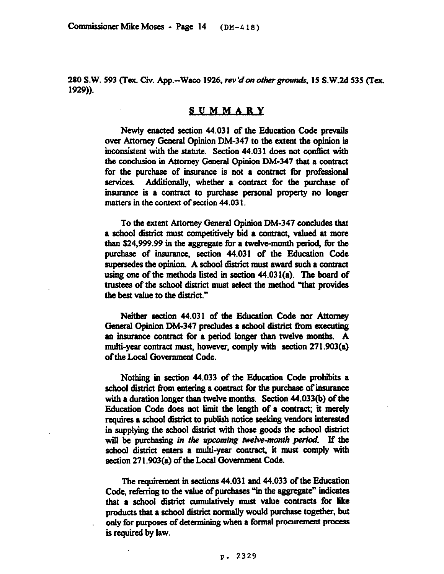*280 S.W. 593 (Tex. Cii.* App.-Waco 1926, *rev'davothergroun&,* 15 S.W.2d 535 (Tex. 1929)).

## **SUMMARY**

Newly enacted section 44.031 of the Education Code prevails over Attorney General Opinion DM-347 to the extent the opinion is inconsistent with the statute. Section 44.031 does not conflict with the conclusion in Attorney General Opinion DM-347 that a contract for the purchase of insurance is not a contract for professiona services. Additionally, whether a contract for the purchase of insurance is a contract to purchase personal property no longer matters in the context of section 44.03 1.

To the extent Attorney General Opinion DM-347 concludes that a school district must competitively bid a contract, valued at more than S24.999.99 in the aggregate for a twelve-month period, for the purchase of insurance, section 44.031 of the Education Code supersedes the opinion. A school district must award such a contract using one of the methods listed in section 44.031(a). The board of trustees of the school district must select the method "that provides the best value to the district."

Neither section 44.031 of the. *Education Code nor Attomey*  General Opinion DM-347 precludes a school district from executing an insurance contract for a period longer than twelve months. A multi-year contract must, however, comply with section 271.903(a) of the Local Government Code.

Nothing in section 44.033 of the Education Code prohibits a school district from entering a contract for the purchase of insurance with a duration longer than twelve months. Section 44.033(b) of the Education Code does not limit the length of a contract; it merely requires a school district to publish notice seeking vendors interested in supplying the school district with those goods the school district will be purchasing *in the upcoming twelve-month period*. If the school district enters a multi-year contract, it must comply with section 271.903(a) of the Local Government Code.

The requirement in sections 44.031 and 44.033 of the Education Code, referring to the value of purchases "in the aggregate" indicates that a school district cumulatively must value contracts for like products that a school district normally would purchase together, but only for purposes of determining when a formal procurement process is required by law.

## P. 2329